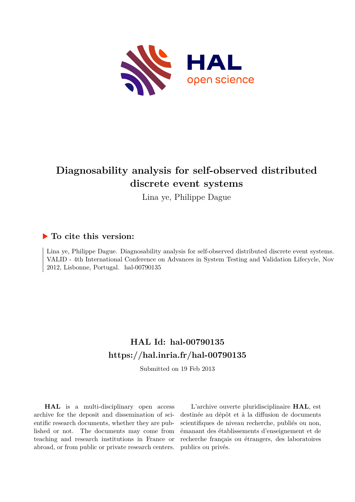

## **Diagnosability analysis for self-observed distributed discrete event systems**

Lina ye, Philippe Dague

### **To cite this version:**

Lina ye, Philippe Dague. Diagnosability analysis for self-observed distributed discrete event systems. VALID - 4th International Conference on Advances in System Testing and Validation Lifecycle, Nov  $2012$ , Lisbonne, Portugal. hal-00790135

## **HAL Id: hal-00790135 <https://hal.inria.fr/hal-00790135>**

Submitted on 19 Feb 2013

**HAL** is a multi-disciplinary open access archive for the deposit and dissemination of scientific research documents, whether they are published or not. The documents may come from teaching and research institutions in France or abroad, or from public or private research centers.

L'archive ouverte pluridisciplinaire **HAL**, est destinée au dépôt et à la diffusion de documents scientifiques de niveau recherche, publiés ou non, émanant des établissements d'enseignement et de recherche français ou étrangers, des laboratoires publics ou privés.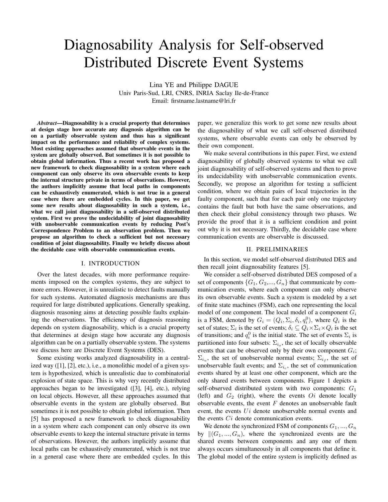# Diagnosability Analysis for Self-observed Distributed Discrete Event Systems

Lina YE and Philippe DAGUE Univ Paris-Sud, LRI, CNRS, INRIA Saclay Ile-de-France Email: firstname.lastname@lri.fr

*Abstract*—Diagnosability is a crucial property that determines at design stage how accurate any diagnosis algorithm can be on a partially observable system and thus has a significant impact on the performance and reliability of complex systems. Most existing approaches assumed that observable events in the system are globally observed. But sometimes it is not possible to obtain global information. Thus a recent work has proposed a new framework to check diagnosability in a system where each component can only observe its own observable events to keep the internal structure private in terms of observations. However, the authors implicitly assume that local paths in components can be exhaustively enumerated, which is not true in a general case where there are embedded cycles. In this paper, we get some new results about diagnosability in such a system, i.e., what we call joint diagnosability in a self-observed distributed system. First we prove the undecidability of joint diagnosability with unobservable communication events by reducing Post's Correspondence Problem to an observation problem. Then we propose an algorithm to check a sufficient but not necessary condition of joint diagnosability. Finally we briefly discuss about the decidable case with observable communication events.

#### I. INTRODUCTION

Over the latest decades, with more performance requirements imposed on the complex systems, they are subject to more errors. However, it is unrealistic to detect faults manually for such systems. Automated diagnosis mechanisms are thus required for large distributed applications. Generally speaking, diagnosis reasoning aims at detecting possible faults explaining the observations. The efficiency of diagnosis reasoning depends on system diagnosability, which is a crucial property that determines at design stage how accurate any diagnosis algorithm can be on a partially observable system. The systems we discuss here are Discrete Event Systems (DES).

Some existing works analyzed diagnosability in a centralized way ([1], [2], etc.), i.e., a monolithic model of a given system is hypothesized, which is unrealistic due to combinatorial explosion of state space. This is why very recently distributed approaches began to be investigated ([3], [4], etc.), relying on local objects. However, all these approaches assumed that observable events in the system are globally observed. But sometimes it is not possible to obtain global information. Then [5] has proposed a new framework to check diagnosability in a system where each component can only observe its own observable events to keep the internal structure private in terms of observations. However, the authors implicitly assume that local paths can be exhaustively enumerated, which is not true in a general case where there are embedded cycles. In this paper, we generalize this work to get some new results about the diagnosability of what we call self-observed distributed systems, where observable events can only be observed by their own component.

We make several contributions in this paper. First, we extend diagnosability of globally observed systems to what we call joint diagnosability of self-observed systems and then to prove its undecidability with unobservable communication events. Secondly, we propose an algorithm for testing a sufficient condition, where we obtain pairs of local trajectories in the faulty component, such that for each pair only one trajectory contains the fault but both have the same observations, and then check their global consistency through two phases. We provide the proof that it is a sufficient condition and point out why it is not necessary. Thirdly, the decidable case where communication events are observable is discussed.

#### II. PRELIMINARIES

In this section, we model self-observed distributed DES and then recall joint diagnosability features [5].

We consider a self-observed distributed DES composed of a set of components  $\{G_1, G_2, ..., G_n\}$  that communicate by communication events, where each component can only observe its own observable events. Such a system is modeled by a set of finite state machines (FSM), each one representing the local model of one component. The local model of a component  $G_i$ is a FSM, denoted by  $G_i = (Q_i, \Sigma_i, \delta_i, q_i^0)$ , where  $Q_i$  is the set of states;  $\Sigma_i$  is the set of events;  $\delta_i \subseteq Q_i \times \Sigma_i \times Q_i$  is the set of transitions; and  $q_i^0$  is the initial state. The set of events  $\Sigma_i$  is partitioned into four subsets:  $\Sigma_{i_o}$ , the set of locally observable events that can be observed only by their own component  $G_i$ ;  $\Sigma_{i_u}$ , the set of unobservable normal events;  $\Sigma_{i_f}$ , the set of unobservable fault events; and  $\Sigma_{i_c}$ , the set of communication events shared by at least one other component, which are the only shared events between components. Figure 1 depicts a self-observed distributed system with two components:  $G_1$ (left) and  $G_2$  (right), where the events  $Qi$  denote locally observable events, the event  $F$  denotes an unobservable fault event, the events Ui denote unobservable normal events and the events  $Ci$  denote communication events.

We denote the synchronized FSM of components  $G_1, ..., G_n$ by  $\|(G_1,..., G_n)\|$ , where the synchronized events are the shared events between components and any one of them always occurs simultaneously in all components that define it. The global model of the entire system is implicitly defined as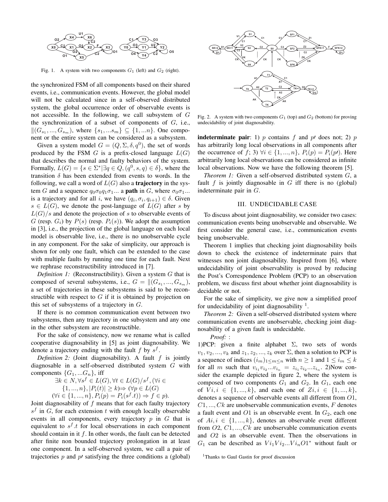

Fig. 1. A system with two components  $G_1$  (left) and  $G_2$  (right).

the synchronized FSM of all components based on their shared events, i.e., communication events. However, the global model will not be calculated since in a self-observed distributed system, the global occurrence order of observable events is not accessible. In the following, we call subsystem of G the synchronization of a subset of components of  $G$ , i.e.,  $||(G_{s_1},...,G_{s_m})$ , where  $\{s_1,...s_m\} \subseteq \{1,...n\}$ . One component or the entire system can be considered as a subsystem.

Given a system model  $G = (Q, \Sigma, \delta, q^0)$ , the set of words produced by the FSM  $G$  is a prefix-closed language  $L(G)$ that describes the normal and faulty behaviors of the system. Formally,  $L(G) = \{ s \in \Sigma^* | \exists q \in Q, (q^0, s, q) \in \delta \},$  where the transition  $\delta$  has been extended from events to words. In the following, we call a word of  $L(G)$  also a **trajectory** in the system G and a sequence  $q_0 \sigma_0 q_1 \sigma_1 \dots$  a **path** in G, where  $\sigma_0 \sigma_1 \dots$ is a trajectory and for all i, we have  $(q_i, \sigma_i, q_{i+1}) \in \delta$ . Given  $s \in L(G)$ , we denote the post-language of  $L(G)$  after s by  $L(G)/s$  and denote the projection of s to observable events of G (resp.  $G_i$ ) by  $P(s)$  (resp.  $P_i(s)$ ). We adopt the assumption in [3], i.e., the projection of the global language on each local model is observable live, i.e., there is no unobservable cycle in any component. For the sake of simplicity, our approach is shown for only one fault, which can be extended to the case with multiple faults by running one time for each fault. Next we rephrase reconstructibility introduced in [7].

*Definition 1:* (Reconstructibility). Given a system G that is composed of several subsystems, i.e.,  $G = ||(G_{s_1},...,G_{s_m}),$ a set of trajectories in these subsystems is said to be reconstructible with respect to  $G$  if it is obtained by projection on this set of subsystems of a trajectory in  $G$ .

If there is no common communication event between two subsystems, then any trajectory in one subsystem and any one in the other subsystem are reconstructible.

For the sake of consistency, now we rename what is called cooperative diagnosability in [5] as joint diagnosability. We denote a trajectory ending with the fault  $f$  by  $s^f$ .

*Definition 2:* (Joint diagnosability). A fault f is jointly diagnosable in a self-observed distributed system G with components  $\{G_1,...G_n\}$ , iff

$$
\exists k \in N, \forall s^f \in L(G), \forall t \in L(G)/s^f, (\forall i \in
$$
  

$$
\{1, ..., n\}, |P_i(t)| \ge k \Rightarrow (\forall p \in L(G))
$$
  

$$
(\forall i \in \{1, ..., n\}, P_i(p) = P_i(s^f \cdot t)) \Rightarrow f \in p).
$$

Joint diagnosability of  $f$  means that for each faulty trajectory  $s<sup>f</sup>$  in G, for each extension t with enough locally observable events in all components, every trajectory  $p$  in  $G$  that is equivalent to  $s^f$ .t for local observations in each component should contain in it  $f$ . In other words, the fault can be detected after finite non bounded trajectory prolongation in at least one component. In a self-observed system, we call a pair of trajectories  $p$  and  $p'$  satisfying the three conditions a (global)



Fig. 2. A system with two components  $G_1$  (top) and  $G_2$  (bottom) for proving undecidability of joint diagnosability.

**indeterminate pair**: 1) p contains f and p' does not; 2) p has arbitrarily long local observations in all components after the occurrence of f; 3)  $\forall i \in \{1, ..., n\}, P_i(p) = P_i(p)$ . Here arbitrarily long local observations can be considered as infinite local observations. Now we have the following theorem [5].

*Theorem 1:* Given a self-observed distributed system G, a fault  $f$  is jointly diagnosable in  $G$  iff there is no (global) indeterminate pair in G.

#### III. UNDECIDABLE CASE

To discuss about joint diagnosability, we consider two cases: communication events being unobservable and observable. We first consider the general case, i.e., communication events being unobservable.

Theorem 1 implies that checking joint diagnosability boils down to check the existence of indeterminate pairs that witnesses non joint diagnosability. Inspired from [6], where undecidability of joint observability is proved by reducing the Post's Correspondence Problem (PCP) to an observation problem, we discuss first about whether joint diagnosability is decidable or not.

For the sake of simplicity, we give now a simplified proof for undecidability of joint diagnosability  $<sup>1</sup>$ .</sup>

*Theorem 2:* Given a self-observed distributed system where communication events are unobservable, checking joint diagnosability of a given fault is undecidable.

*Proof:* :

1)PCP: given a finite alphabet  $\Sigma$ , two sets of words  $v_1, v_2, ..., v_k$  and  $z_1, z_2, ..., z_k$  over  $\Sigma$ , then a solution to PCP is a sequence of indices  $(i_m)_{1 \le m \le n}$  with  $n \ge 1$  and  $1 \le i_m \le k$ for all m such that  $v_{i_1}v_{i_2}...v_{i_n} = z_{i_1}z_{i_2}...z_{i_n}$ . 2)Now consider the example depicted in figure 2, where the system is composed of two components  $G_1$  and  $G_2$ . In  $G_1$ , each one of  $Vi, i \in \{1, ..., k\}$ , and each one of  $Zi, i \in \{1, ..., k\}$ , denotes a sequence of observable events all different from O1,  $C1, \ldots, Ck$  are unobservable communication events, F denotes a fault event and O1 is an observable event. In  $G_2$ , each one of  $Ai, i \in \{1, ..., k\}$ , denotes an observable event different from  $O2, C1, \ldots, Ck$  are unobservable communication events and O2 is an observable event. Then the observations in  $G_1$  can be described as  $Vi_1Vi_2...Vi_nO1^*$  without fault or

<sup>&</sup>lt;sup>1</sup>Thanks to Gaul Gastin for proof discussion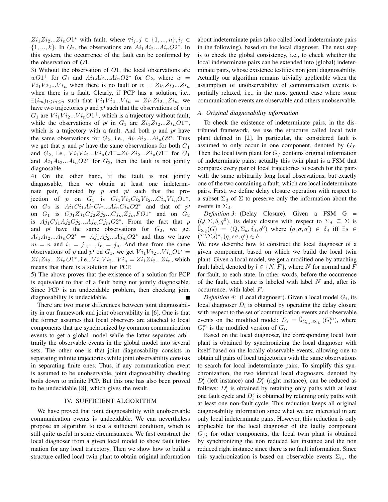$Z_{i_1}Z_{i_2}...Z_{i_n}O_1^*$  with fault, where  $\forall i_j, j \in \{1, ..., n\}, i_j \in$  $\{1, ..., k\}$ . In  $G_2$ , the observations are  $Ai_1Ai_2...Ai_nO2^*$ . In this system, the occurrence of the fault can be confirmed by the observation of O1.

3) Without the observation of O1, the local observations are  $wO1^+$  for  $G_1$  and  $Ai_1Ai_2...Ai_nO2^*$  for  $G_2$ , where  $w =$  $Vi_1Vi_2...Vi_n$  when there is no fault or  $w = Zi_1Zi_2...Zi_n$ when there is a fault. Clearly, if PCP has a solution, i.e.,  $\exists (i_m)_{1 \leq m \leq n}$  such that  $Vi_1Vi_2...Vi_n = Zi_1Zi_2...Zi_n$ , we have two trajectories  $p$  and  $p'$  such that the observations of  $p$  in  $G_1$  are  $Vi_1Vi_2...Vi_nO1^+$ , which is a trajectory without fault, while the observations of p' in  $G_1$  are  $Z_i Z_i Z_i Z_i O1^+$ , which is a trajectory with a fault. And both  $p$  and  $p'$  have the same observations for  $G_2$ , i.e.,  $Ai_1Ai_2...Ai_nO2^*$ . Thus we get that p and p' have the same observations for both  $G_1$ and  $G_2$ , i.e.,  $Vi_1Vi_2...Vi_nO1^+ = Zi_1Zi_2...Zi_nO1^+$  for  $G_1$ and  $Ai_1Ai_2...Ai_nO2^*$  for  $G_2$ , then the fault is not jointly diagnosable.

4) On the other hand, if the fault is not jointly diagnosable, then we obtain at least one indeterminate pair, denoted by  $p$  and  $p'$  such that the projection of p on  $G_1$  is  $Ci_1Vi_1Ci_2Vi_2...Ci_nVi_nO1^*$ , on  $G_2$  is  $Ai_1Ci_1Ai_2Ci_2...Ai_nCi_nO2^*$  and that of p on  $G_1$  is  $Cj_1Zj_1Cj_2Zj_2...Cj_mZj_mFO1^*$  and on  $G_2$ is  $Aj_1Cj_1Aj_2Cj_2...Aj_mCj_mO2^*$ . From the fact that p and  $p'$  have the same observations for  $G_2$ , we get  $Ai_1Ai_2...Ai_nO2^* = Aj_1Aj_2...Aj_mO2^*$  and thus we have  $m = n$  and  $i_1 = j_1, ..., i_n = j_n$ . And then from the same observations of p and p' on  $G_1$ , we get  $Vi_1Vi_2...Vi_nO1^* =$  $Z_{i_1}Z_{i_2}...Z_{i_n}O1^*$ , i.e.,  $Vi_1Vi_2...Vi_n = Z_{i_1}Z_{i_2}...Z_{i_n}$ , which means that there is a solution for PCP.

5) The above proves that the existence of a solution for PCP is equivalent to that of a fault being not jointly diagnosable. Since PCP is an undecidable problem, then checking joint diagnosability is undecidable.

There are two major differences between joint diagnosability in our framework and joint observability in [6]. One is that the former assumes that local observers are attached to local components that are synchronized by common communication events to get a global model while the latter separates arbitrarily the observable events in the global model into several sets. The other one is that joint diagnosability consists in separating infinite trajectories while joint observability consists in separating finite ones. Thus, if any communication event is assumed to be unobservable, joint diagnosability checking boils down to infinite PCP. But this one has also been proved to be undecidable [8], which gives the result.

#### IV. SUFFICIENT ALGORITHM

We have proved that joint diagnosability with unobservable communication events is undecidable. We can nevertheless propose an algorithm to test a sufficient condition, which is still quite useful in some circumstances. We first construct the local diagnoser from a given local model to show fault information for any local trajectory. Then we show how to build a structure called local twin plant to obtain original information

about indeterminate pairs (also called local indeterminate pairs in the following), based on the local diagnoser. The next step is to check the global consistency, i.e., to check whether the local indeterminate pairs can be extended into (global) indeterminate pairs, whose existence testifies non joint diagnosability. Actually our algorithm remains trivially applicable when the assumption of unobservability of communication events is partially relaxed, i.e., in the most general case where some communication events are observable and others unobservable.

#### *A. Original diagnosability information*

To check the existence of indeterminate pairs, in the distributed framework, we use the structure called local twin plant defined in [2]. In particular, the considered fault is assumed to only occur in one component, denoted by  $G_f$ . Then the local twin plant for  $G_f$  contains original information of indeterminate pairs: actually this twin plant is a FSM that compares every pair of local trajectories to search for the pairs with the same arbitrarily long local observations, but exactly one of the two containing a fault, which are local indeterminate pairs. First, we define delay closure operation with respect to a subset  $\Sigma_d$  of  $\Sigma$  to preserve only the information about the events in  $\Sigma_d$ .

*Definition 3:* (Delay Closure). Given a FSM G =  $(Q, \Sigma, \delta, q^0)$ , its delay closure with respect to  $\Sigma_d \subseteq \Sigma$  is  $\mathcal{C}_{\Sigma_d}(G) = (Q, \Sigma_d, \delta_d, q^0)$  where  $(q, \sigma, q') \in \delta_d$  iff  $\exists s \in$  $(\Sigma \backslash \Sigma_d)^*, (q, s\sigma, q') \in \delta.$ 

We now describe how to construct the local diagnoser of a given component, based on which we build the local twin plant. Given a local model, we get a modified one by attaching fault label, denoted by  $l \in \{N, F\}$ , where N for normal and F for fault, to each state. In other words, before the occurrence of the fault, each state is labeled with label  $N$  and, after its occurrence, with label F.

*Definition 4:* (Local diagnoser). Given a local model  $G_i$ , its local diagnoser  $D_i$  is obtained by operating the delay closure with respect to the set of communication events and observable events on the modified model:  $D_i = \complement_{\Sigma_{i_o} \cup \Sigma_{i_c}}(G_i^m)$ , where  $G_i^m$  is the modified version of  $G_i$ .

Based on the local diagnoser, the corresponding local twin plant is obtained by synchronizing the local diagnoser with itself based on the locally observable events, allowing one to obtain all pairs of local trajectories with the same observations to search for local indeterminate pairs. To simplify this synchronization, the two identical local diagnosers, denoted by  $D_i^l$  (left instance) and  $D_i^r$  (right instance), can be reduced as follows:  $D_i^l$  is obtained by retaining only paths with at least one fault cycle and  $D_i^r$  is obtained by retaining only paths with at least one non-fault cycle. This reduction keeps all original diagnosability information since what we are interested in are only local indeterminate pairs. However, this reduction is only applicable for the local diagnoser of the faulty component  $G_f$ ; for other components, the local twin plant is obtained by synchronizing the non reduced left instance and the non reduced right instance since there is no fault information. Since this synchronization is based on observable events  $\Sigma_{i_o}$ , the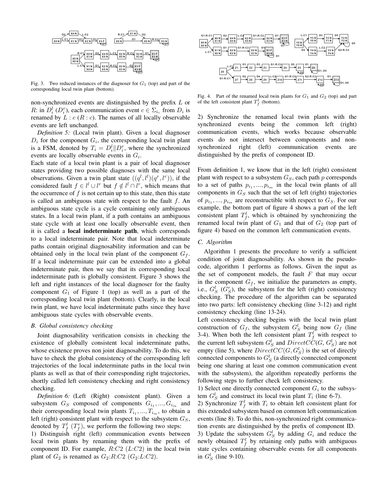

Fig. 3. Two reduced instances of the diagnoser for  $G_1$  (top) and part of the corresponding local twin plant (bottom).

non-synchronized events are distinguished by the prefix L or R: in  $D_i^l(D_i^r)$ , each communication event  $c \in \Sigma_{i_c}$  from  $D_i$  is renamed by  $L : c(R : c)$ . The names of all locally observable events are left unchanged.

*Definition 5:* (Local twin plant). Given a local diagnoser  $D_i$  for the component  $G_i$ , the corresponding local twin plant is a FSM, denoted by  $T_i = D_i^l || D_i^r$ , where the synchronized events are locally observable events in  $G_i$ .

Each state of a local twin plant is a pair of local diagnoser states providing two possible diagnoses with the same local observations. Given a twin plant state  $((q^l, l^l)(q^r, l^r))$ , if the considered fault  $f \in l^l \cup l^r$  but  $f \notin l^l \cap l^r$ , which means that the occurrence of  $f$  is not certain up to this state, then this state is called an ambiguous state with respect to the fault  $f$ . An ambiguous state cycle is a cycle containing only ambiguous states. In a local twin plant, if a path contains an ambiguous state cycle with at least one locally observable event, then it is called a local indeterminate path, which corresponds to a local indeterminate pair. Note that local indeterminate paths contain original diagnosability information and can be obtained only in the local twin plant of the component  $G_f$ . If a local indeterminate pair can be extended into a global indeterminate pair, then we say that its corresponding local indeterminate path is globally consistent. Figure 3 shows the left and right instances of the local diagnoser for the faulty component  $G_1$  of Figure 1 (top) as well as a part of the corresponding local twin plant (bottom). Clearly, in the local twin plant, we have local indeterminate paths since they have ambiguous state cycles with observable events.

#### *B. Global consistency checking*

Joint diagnosability verification consists in checking the existence of globally consistent local indeterminate paths, whose existence proves non joint diagnosability. To do this, we have to check the global consistency of the corresponding left trajectories of the local indeterminate paths in the local twin plants as well as that of their corresponding right trajectories, shortly called left consistency checking and right consistency checking.

*Definition 6:* (Left (Right) consistent plant). Given a subsystem  $G_S$  composed of components  $G_{i_1},...,G_{i_m}$  and their corresponding local twin plants  $T_{i_1},...,T_{i_m}$ , to obtain a left (right) consistent plant with respect to the subsystem  $G<sub>S</sub>$ , denoted by  $T_f^l$   $(T_f^r)$ , we perform the following two steps:

1) Distinguish right (left) communication events between local twin plants by renaming them with the prefix of component ID. For example,  $R: C2$  ( $L: C2$ ) in the local twin plant of  $G_2$  is renamed as  $G_2:R:Cl^2(G_2:L:Cl)$ .



Fig. 4. Part of the renamed local twin plants for  $G_1$  and  $G_2$  (top) and part of the left consistent plant  $T_f^l$  (bottom).

2) Synchronize the renamed local twin plants with the synchronized events being the common left (right) communication events, which works because observable events do not intersect between components and nonsynchronized right (left) communication events are distinguished by the prefix of component ID.

From definition 1, we know that in the left (right) consistent plant with respect to a subsystem  $G<sub>S</sub>$ , each path p corresponds to a set of paths  $p_{i_1},..., p_{i_m}$  in the local twin plants of all components in  $G_S$  such that the set of left (right) trajectories of  $p_{i_1},...,p_{i_m}$  are reconstructible with respect to  $G_S$ . For our example, the bottom part of figure 4 shows a part of the left consistent plant  $T_f^l$ , which is obtained by synchronizing the renamed local twin plant of  $G_1$  and that of  $G_2$  (top part of figure 4) based on the common left communication events.

#### *C. Algorithm*

Algorithm 1 presents the procedure to verify a sufficient condition of joint diagnosability. As shown in the pseudocode, algorithm 1 performs as follows. Given the input as the set of component models, the fault  $F$  that may occur in the component  $G_f$ , we initialize the parameters as empty, i.e.,  $G_S^l$  ( $G_S^r$ ), the subsystem for the left (right) consistency checking. The procedure of the algorithm can be separated into two parts: left consistency checking (line 3-12) and right consistency checking (line 13-24).

Left consistency checking begins with the local twin plant construction of  $G_f$ , the subsystem  $G_S^l$  being now  $G_f$  (line 3-4). When both the left consistent plant  $T_f^l$  with respect to the current left subsystem  $G_S^l$  and  $DirectCC(G, G_S^l)$  are not empty (line 5), where  $Direct CC(G, G_S^l)$  is the set of directly connected components to  $G_S^l$  (a directly connected component being one sharing at least one common communication event with the subsystem), the algorithm repeatedly performs the following steps to further check left consistency.

1) Select one directly connected component  $G_i$  to the subsystem  $G_S^l$  and construct its local twin plant  $T_i$  (line 6-7).

2) Synchronize  $T_f^l$  with  $T_i$  to obtain left consistent plant for this extended subsystem based on common left communication events (line 8). To do this, non-synchronized right communication events are distinguished by the prefix of component ID. 3) Update the subsystem  $G_S^l$  by adding  $G_i$  and reduce the newly obtained  $T_f^l$  by retaining only paths with ambiguous state cycles containing observable events for all components in  $G_S^l$  (line 9-10).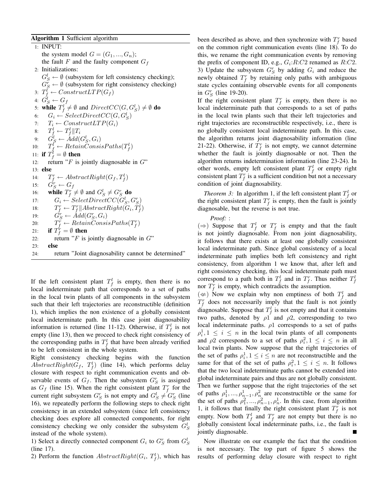#### Algorithm 1 Sufficient algorithm

1: INPUT: the system model  $G = (G_1, ..., G_n);$ the fault F and the faulty component  $G_f$ 2: Initializations:  $G_S^l \leftarrow \emptyset$  (subsystem for left consistency checking);  $G_S^r \leftarrow \emptyset$  (subsystem for right consistency checking) 3:  $T_f^l \leftarrow ConstructLTP(G_f)$ 4:  $\ddot{G^l_S} \leftarrow G_f$ 5: while  $T_f^l \neq \emptyset$  and  $DirectCC(G, G_S^l) \neq \emptyset$  do 6:  $G_i \leftarrow SelectDirectCC(G, G_S^l)$ 7:  $T_i \leftarrow ConstructLTP(G_i)$ 8:  $T_f^l \leftarrow T_f^l || T_i$ <sup>6.</sup>  $I_f^t \leftarrow Add(G_S^l, G_i)$ <br>
9:  $G_S^l \leftarrow Add(G_S^l, G_i)$ <br>
0:  $T_f^l \leftarrow RetainConsisPaths(T_f^l)$  $10:$ 11: if  $T_f^l = \emptyset$  then 12: return " $F$  is jointly diagnosable in  $G$ " 13: else  $14:$  $F_f^r \leftarrow AbstractRight(G_f, T_f^l)$ 15:  $\ddot{G}_S^r \leftarrow G_f$ 16: while  $T_f^r \neq \emptyset$  and  $G_S^l \neq G_S^r$  do 17:  $G_i \leftarrow SelectDirectCC(G_S^l, G_S^r)$ 18:  $T_f^r \leftarrow T_f^r \| AbstractRight(G_i, T_f^l)$ 19:  $\ddot{G}_S^r \leftarrow \AA dd(G_S^r, G_i)$  $20:$  $\hat{T_f^r} \leftarrow RetainConsisPaths(T_f^r)$ 21: if  $T_f^r = \emptyset$  then 22: return " $F$  is jointly diagnosable in  $G$ "  $23$ : else 24: return "Joint diagnosability cannot be determined"

If the left consistent plant  $T_f^l$  is empty, then there is no local indeterminate path that corresponds to a set of paths in the local twin plants of all components in the subsystem such that their left trajectories are reconstructible (definition 1), which implies the non existence of a globally consistent local indeterminate path. In this case joint diagnosability information is returned (line 11-12). Otherwise, if  $T_f^l$  is not empty (line 13), then we proceed to check right consistency of the corresponding paths in  $T_f^l$  that have been already verified to be left consistent in the whole system.

Right consistency checking begins with the function  $AbstractRight(G_f, T_f^l)$  (line 14), which performs delay closure with respect to right communication events and observable events of  $G_f$ . Then the subsystem  $G_S^r$  is assigned as  $G_f$  (line 15). When the right consistent plant  $T_f^r$  for the current right subsystem  $G_S^r$  is not empty and  $G_S^l \neq G_S^r$  (line 16), we repeatedly perform the following steps to check right consistency in an extended subsystem (since left consistency checking does explore all connected components, for right consistency checking we only consider the subsystem  $G_S^l$ instead of the whole system).

1) Select a directly connected component  $G_i$  to  $G_S^r$  from  $G_S^l$ (line 17).

2) Perform the function  $AbstractRight(G_i, T_f^l)$ , which has

been described as above, and then synchronize with  $T_f^r$  based on the common right communication events (line 18). To do this, we rename the right communication events by removing the prefix of component ID, e.g.,  $G_i:R:C2$  renamed as  $R:C2$ . 3) Update the subsystem  $G_S^r$  by adding  $G_i$  and reduce the newly obtained  $T_f^r$  by retaining only paths with ambiguous state cycles containing observable events for all components in  $G_S^r$  (line 19-20).

If the right consistent plant  $T_f^r$  is empty, then there is no local indeterminate path that corresponds to a set of paths in the local twin plants such that their left trajectories and right trajectories are reconstructible respectively, i.e., there is no globally consistent local indeterminate path. In this case, the algorithm returns joint diagnosability information (line 21-22). Otherwise, if  $T_f^r$  is not empty, we cannot determine whether the fault is jointly diagnosable or not. Then the algorithm returns indetermination information (line 23-24). In other words, empty left consistent plant  $T_f^l$  or empty right consistent plant  $T_f^r$  is a sufficient condition but not a necessary condition of joint diagnosability.

*Theorem 3:* In algorithm 1, if the left consistent plant  $T_f^l$  or the right consistent plant  $T_f^r$  is empty, then the fault is jointly diagnosable, but the reverse is not true.

*Proof:* :

(⇒) Suppose that  $T_f^l$  or  $T_f^r$  is empty and that the fault is not jointly diagnosable. From non joint diagnosability, it follows that there exists at least one globally consistent local indeterminate path. Since global consistency of a local indeterminate path implies both left consistency and right consistency, from algorithm 1 we know that, after left and right consistency checking, this local indeterminate path must correspond to a path both in  $T_f^l$  and in  $T_f^r$ . Thus neither  $T_f^l$ nor  $T_f^r$  is empty, which contradicts the assumption.

 $(\neq)$  Now we explain why non emptiness of both  $T_f^l$  and  $T_f^r$  does not necessarily imply that the fault is not jointly diagnosable. Suppose that  $T_f^l$  is not empty and that it contains two paths, denoted by  $\rho_1$  and  $\rho_2$ , corresponding to two local indeterminate paths.  $\rho$ 1 corresponds to a set of paths  $\rho_i^1, 1 \leq i \leq n$  in the local twin plants of all components and  $\rho$ 2 corresponds to a set of paths  $\rho_i^2$ ,  $1 \le i \le n$  in all local twin plants. Now suppose that the right trajectories of the set of paths  $\rho_i^1, 1 \leq i \leq n$  are not reconstructible and the same for that of the set of paths  $\rho_i^2$ ,  $1 \le i \le n$ . It follows that the two local indeterminate paths cannot be extended into global indeterminate pairs and thus are not globally consistent. Then we further suppose that the right trajectories of the set of paths  $\rho_1^1, ..., \rho_{n-1}^1, \rho_n^2$  are reconstructible or the same for the set of paths  $\rho_1^2, ..., \rho_{n-1}^2, \rho_n^1$ . In this case, from algorithm 1, it follows that finally the right consistent plant  $T_f^r$  is not empty. Now both  $T_f^l$  and  $T_f^r$  are not empty but there is no globally consistent local indeterminate paths, i.e., the fault is jointly diagnosable.

Now illustrate on our example the fact that the condition is not necessary. The top part of figure 5 shows the results of performing delay closure with respect to right